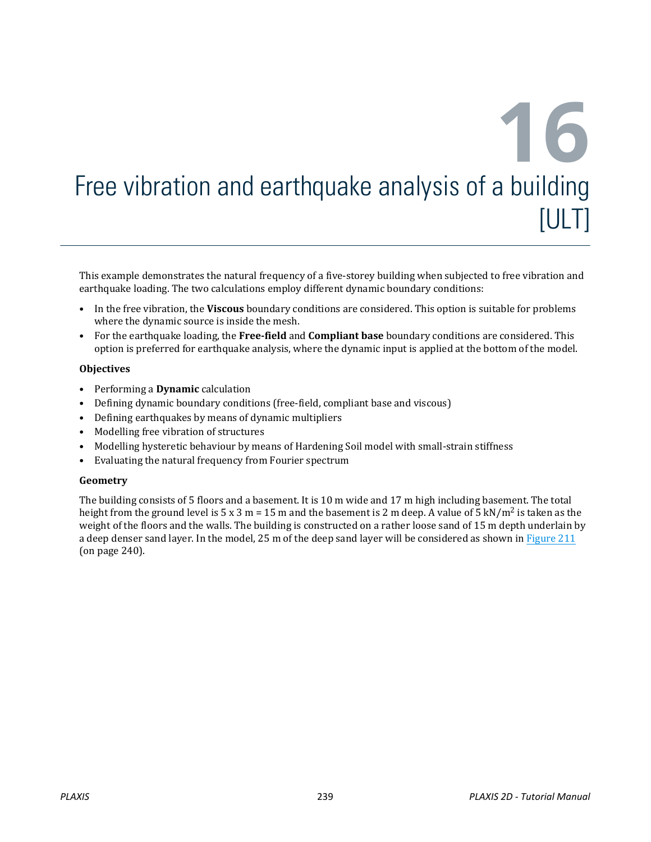This example demonstrates the natural frequency of a five-storey building when subjected to free vibration and earthquake loading. The two calculations employ different dynamic boundary conditions:

- In the free vibration, the **Viscous** boundary conditions are considered. This option is suitable for problems where the dynamic source is inside the mesh.
- For the earthquake loading, the **Free-field** and **Compliant base** boundary conditions are considered. This option is preferred for earthquake analysis, where the dynamic input is applied at the bottom of the model.

#### **Objectives**

- Performing a **Dynamic** calculation
- Defining dynamic boundary conditions (free-field, compliant base and viscous)
- Defining earthquakes by means of dynamic multipliers
- Modelling free vibration of structures
- Modelling hysteretic behaviour by means of Hardening Soil model with small-strain stiffness
- Evaluating the natural frequency from Fourier spectrum

#### **Geometry**

The building consists of 5 floors and a basement. It is 10 m wide and 17 m high including basement. The total height from the ground level is 5 x 3 m = 15 m and the basement is 2 m deep. A value of 5 kN/m<sup>2</sup> is taken as the weight of the floors and the walls. The building is constructed on a rather loose sand of 15 m depth underlain by a deep denser sand layer. In the model, 25 m of the deep sand layer will be considered as shown in [Figure 211](#page-1-0) (on page 240).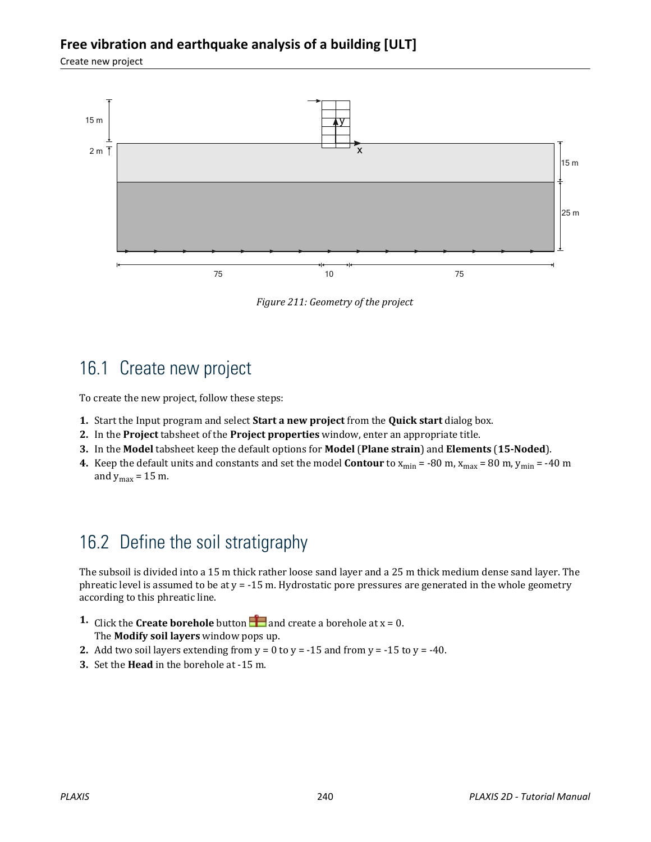<span id="page-1-0"></span>Create new project



*Figure 211: Geometry of the project*

# 16.1 Create new project

To create the new project, follow these steps:

- **1.** Start the Input program and select **Start a new project** from the **Quick start** dialog box.
- **2.** In the **Project** tabsheet of the **Project properties** window, enter an appropriate title.
- **3.** In the **Model** tabsheet keep the default options for **Model** (**Plane strain**) and **Elements** (**15-Noded**).
- **4.** Keep the default units and constants and set the model **Contour** to  $x_{min} = -80$  m,  $x_{max} = 80$  m,  $y_{min} = -40$  m and  $y_{max} = 15$  m.

# 16.2 Define the soil stratigraphy

The subsoil is divided into a 15 m thick rather loose sand layer and a 25 m thick medium dense sand layer. The phreatic level is assumed to be at  $y = -15$  m. Hydrostatic pore pressures are generated in the whole geometry according to this phreatic line.

- **1.** Click the **Create borehole** button **a** and create a borehole at  $x = 0$ . The **Modify soil layers** window pops up.
- **2.** Add two soil layers extending from  $y = 0$  to  $y = -15$  and from  $y = -15$  to  $y = -40$ .
- **3.** Set the **Head** in the borehole at -15 m.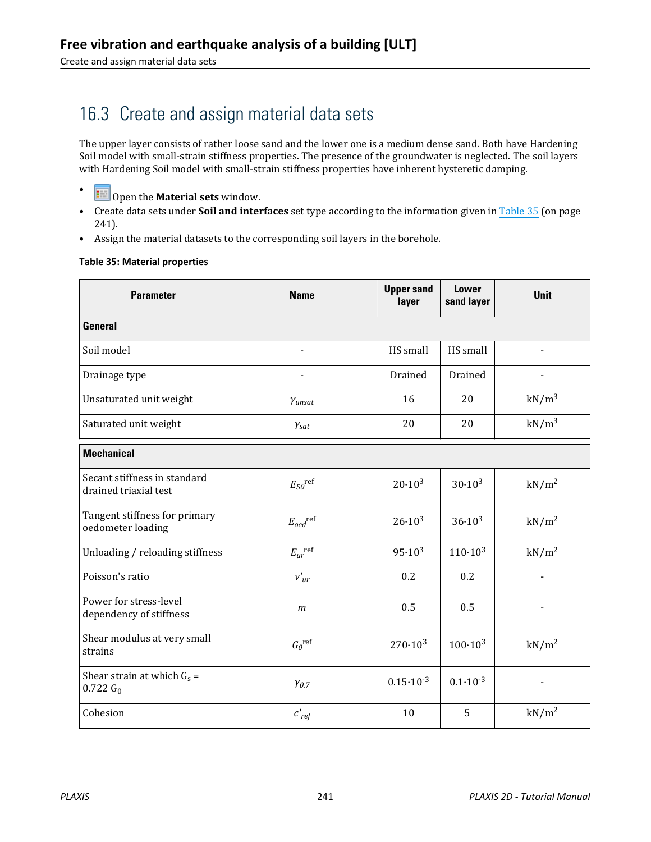Create and assign material data sets

# 16.3 Create and assign material data sets

The upper layer consists of rather loose sand and the lower one is a medium dense sand. Both have Hardening Soil model with small-strain stiffness properties. The presence of the groundwater is neglected. The soil layers with Hardening Soil model with small-strain stiffness properties have inherent hysteretic damping.

- Open the **Material sets** window.
- Create data sets under **Soil and interfaces** set type according to the information given in Table 35 (on page 241).
- Assign the material datasets to the corresponding soil layers in the borehole.

#### **Table 35: Material properties**

| <b>Parameter</b>                                      | <b>Name</b>              | <b>Upper sand</b><br>layer | <b>Lower</b><br>sand layer | <b>Unit</b>       |
|-------------------------------------------------------|--------------------------|----------------------------|----------------------------|-------------------|
| General                                               |                          |                            |                            |                   |
| Soil model                                            |                          | HS small                   | HS small                   |                   |
| Drainage type                                         | $\blacksquare$           | Drained                    | Drained                    |                   |
| Unsaturated unit weight                               | $Y$ unsat                | 16                         | 20                         | $kN/m^3$          |
| Saturated unit weight                                 | $\gamma_{\text{sat}}$    | 20                         | 20                         | kN/m <sup>3</sup> |
| <b>Mechanical</b>                                     |                          |                            |                            |                   |
| Secant stiffness in standard<br>drained triaxial test | $E_{50}$ <sup>ref</sup>  | $20.10^{3}$                | $30.10^{3}$                | kN/m <sup>2</sup> |
| Tangent stiffness for primary<br>oedometer loading    | $E_{oed}$ <sup>ref</sup> | $26.10^{3}$                | $36.10^{3}$                | $kN/m^2$          |
| Unloading / reloading stiffness                       | $E_{ur}^{\text{ref}}$    | $95.10^{3}$                | $110 \cdot 10^{3}$         | kN/m <sup>2</sup> |
| Poisson's ratio                                       | $v_{ur}$                 | 0.2                        | 0.2                        |                   |
| Power for stress-level<br>dependency of stiffness     | $\mathfrak{m}$           | 0.5                        | 0.5                        |                   |
| Shear modulus at very small<br>strains                | $G_0^{\text{ref}}$       | $270 \cdot 10^{3}$         | $100 \cdot 10^{3}$         | kN/m <sup>2</sup> |
| Shear strain at which $G_s$ =<br>$0.722 G_0$          | $\gamma_{0.7}$           | $0.15 \cdot 10^{-3}$       | $0.1 \cdot 10^{-3}$        |                   |
| Cohesion                                              | $c'_{ref}$               | 10                         | 5                          | kN/m <sup>2</sup> |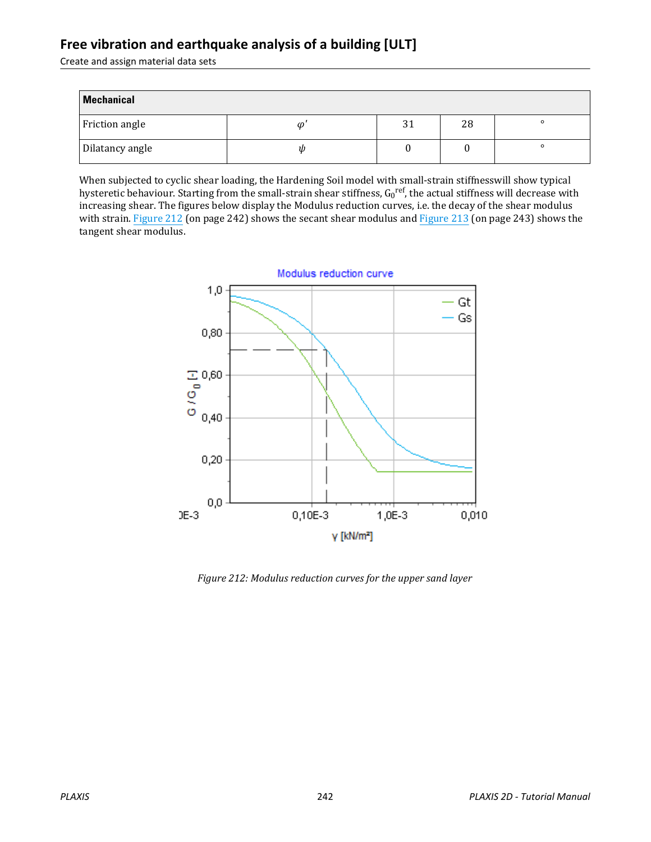Create and assign material data sets

| <b>Mechanical</b> |   |    |    |         |
|-------------------|---|----|----|---------|
| Friction angle    | Φ | 31 | 28 | $\circ$ |
| Dilatancy angle   | W |    |    | $\circ$ |

When subjected to cyclic shear loading, the Hardening Soil model with small-strain stiffnesswill show typical hysteretic behaviour. Starting from the small-strain shear stiffness, G<sub>0</sub>r<sup>ef</sup>, the actual stiffness will decrease with increasing shear. The figures below display the Modulus reduction curves, i.e. the decay of the shear modulus with strain. Figure 212 (on page 242) shows the secant shear modulus and [Figure 213](#page-4-0) (on page 243) shows the tangent shear modulus.



*Figure 212: Modulus reduction curves for the upper sand layer*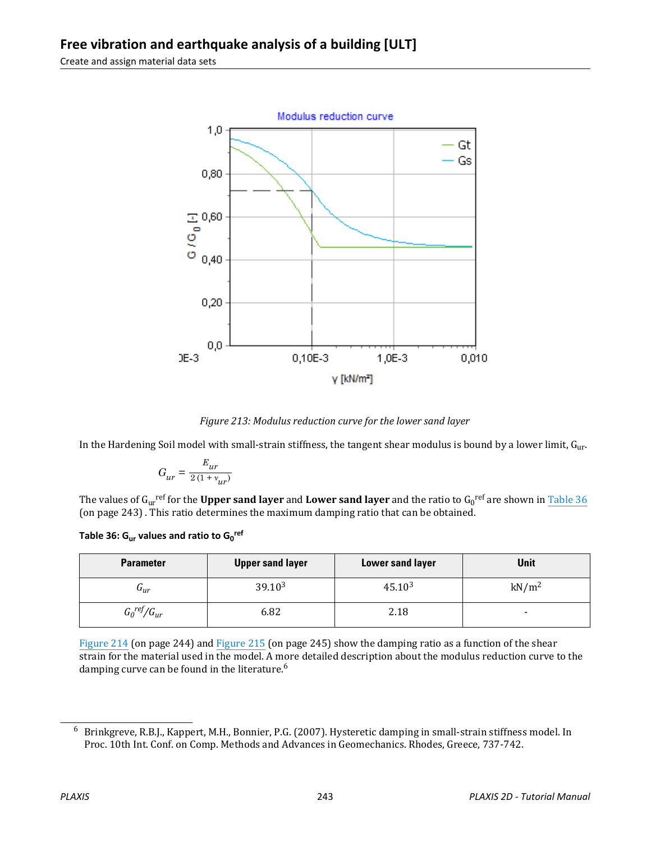<span id="page-4-0"></span>Create and assign material data sets



*Figure 213: Modulus reduction curve for the lower sand layer*

In the Hardening Soil model with small-strain stiffness, the tangent shear modulus is bound by a lower limit,  $G_{ur}$ .

$$
G_{ur} = \frac{E_{ur}}{2(1 + v_{ur})}
$$

The values of G<sub>ur</sub><sup>ref</sup> for the **Upper sand layer** and **Lower sand layer** and the ratio to G<sub>0</sub><sup>ref</sup> are shown in <u>Table 36</u> (on page 243) . This ratio determines the maximum damping ratio that can be obtained.

**Table 36: Gur values and ratio to G<sup>0</sup> ref**

| <b>Parameter</b>          | <b>Upper sand layer</b> | <b>Lower sand layer</b> | Unit                     |
|---------------------------|-------------------------|-------------------------|--------------------------|
| $\mathbf{u}_{ur}$         | $39.10^{3}$             | $45.10^{3}$             | kN/m <sup>2</sup>        |
| $G_0^{\text{ref}}/G_{ur}$ | 6.82                    | 2.18                    | $\overline{\phantom{a}}$ |

[Figure 214](#page-5-0) (on page 244) and [Figure 215](#page-6-0) (on page 245) show the damping ratio as a function of the shear strain for the material used in the model. A more detailed description about the modulus reduction curve to the damping curve can be found in the literature.<sup>6</sup>

<sup>6</sup> Brinkgreve, R.B.J., Kappert, M.H., Bonnier, P.G. (2007). Hysteretic damping in small-strain stiffness model. In Proc. 10th Int. Conf. on Comp. Methods and Advances in Geomechanics. Rhodes, Greece, 737-742.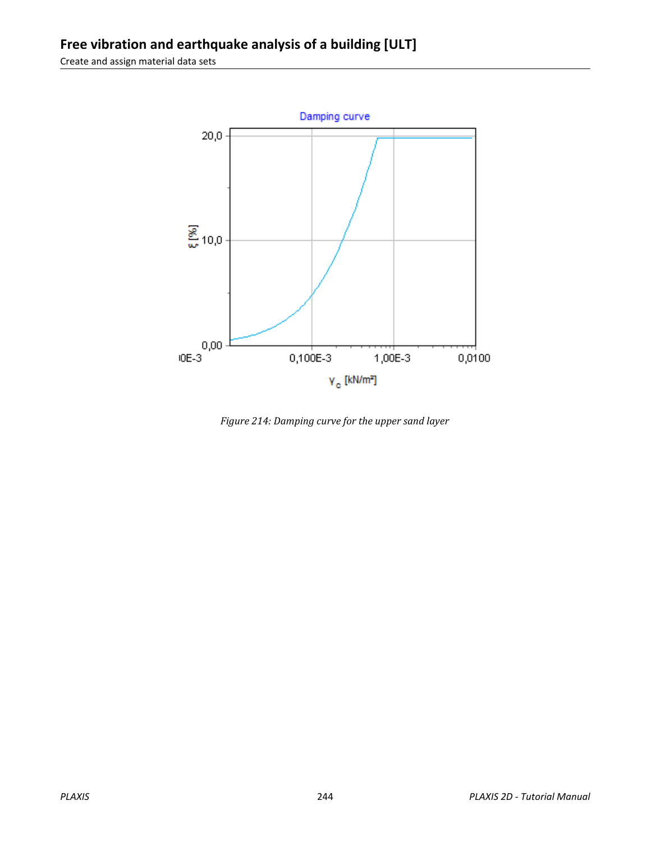<span id="page-5-0"></span>Create and assign material data sets



*Figure 214: Damping curve for the upper sand layer*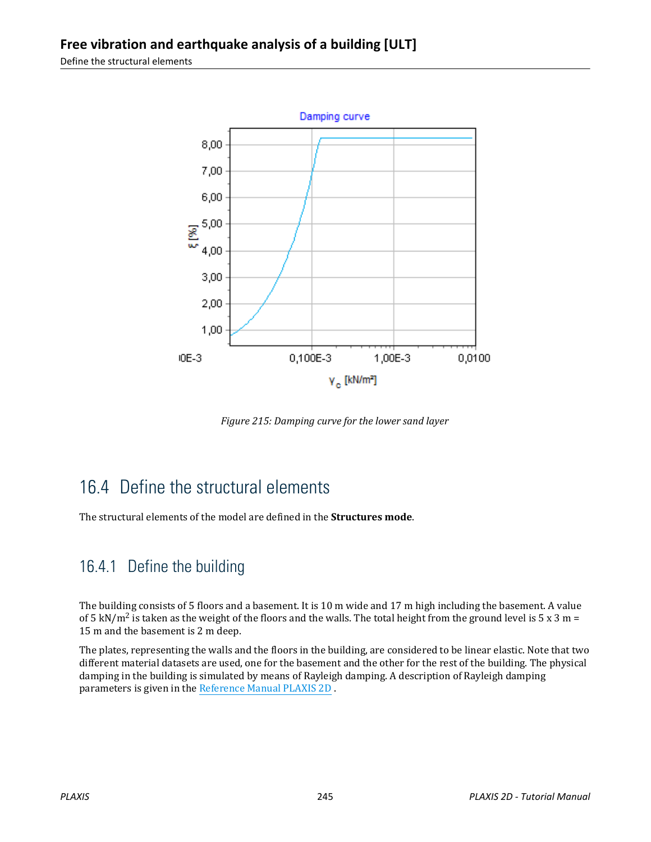<span id="page-6-0"></span>Define the structural elements



*Figure 215: Damping curve for the lower sand layer*

# 16.4 Define the structural elements

The structural elements of the model are defined in the **Structures mode**.

## 16.4.1 Define the building

The building consists of 5 floors and a basement. It is 10 m wide and 17 m high including the basement. A value of 5 kN/m<sup>2</sup> is taken as the weight of the floors and the walls. The total height from the ground level is 5 x 3 m = 15 m and the basement is 2 m deep.

The plates, representing the walls and the floors in the building, are considered to be linear elastic. Note that two different material datasets are used, one for the basement and the other for the rest of the building. The physical damping in the building is simulated by means of Rayleigh damping. A description of Rayleigh damping parameters is given in the Reference Manual PLAXIS 2D .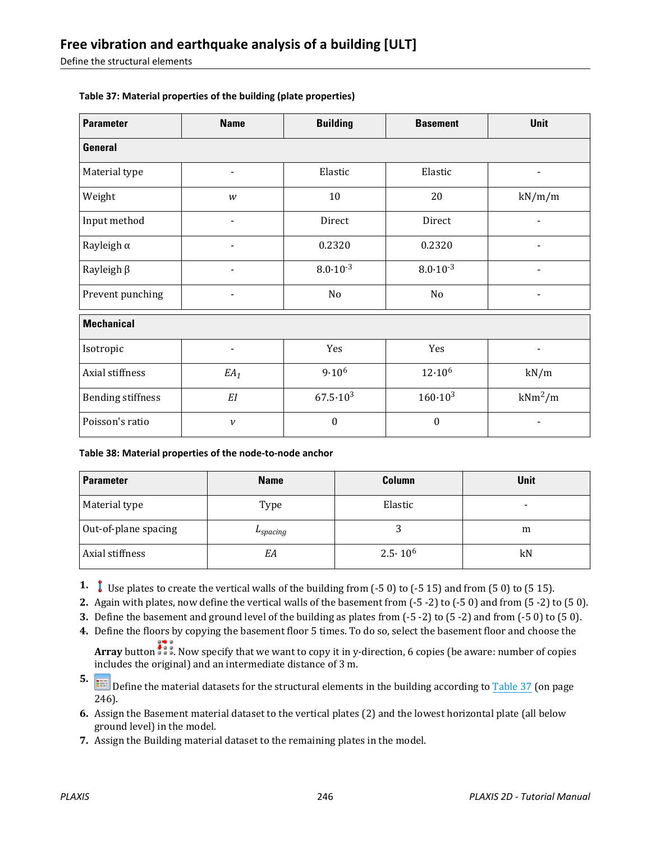<span id="page-7-0"></span>Define the structural elements

| <b>Parameter</b>         | <b>Name</b>              | <b>Building</b>     | <b>Basement</b>     | Unit           |  |
|--------------------------|--------------------------|---------------------|---------------------|----------------|--|
| <b>General</b>           |                          |                     |                     |                |  |
| Material type            | $\overline{\phantom{a}}$ | Elastic             | Elastic             | $\blacksquare$ |  |
| Weight                   | w                        | 10                  | 20                  | kN/m/m         |  |
| Input method             |                          | Direct              | Direct              |                |  |
| Rayleigh $\alpha$        |                          | 0.2320              | 0.2320              |                |  |
| Rayleigh $\beta$         | $\overline{\phantom{0}}$ | $8.0 \cdot 10^{-3}$ | $8.0 \cdot 10^{-3}$ | ۰              |  |
| Prevent punching         | $\blacksquare$           | No                  | No                  | $\blacksquare$ |  |
| <b>Mechanical</b>        |                          |                     |                     |                |  |
| Isotropic                | $\overline{\phantom{0}}$ | Yes                 | Yes                 | ۰              |  |
| Axial stiffness          | $EA_1$                   | $9.10^{6}$          | $12.10^{6}$         | kN/m           |  |
| <b>Bending stiffness</b> | $\cal EI$                | $67.5 \cdot 10^{3}$ | $160 \cdot 10^{3}$  | $kNm^2/m$      |  |
| Poisson's ratio          | $\boldsymbol{\nu}$       | $\boldsymbol{0}$    | $\boldsymbol{0}$    |                |  |

#### **Table 37: Material properties of the building (plate properties)**

**Table 38: Material properties of the node-to-node anchor**

| <b>Parameter</b>     | <b>Name</b> | Column           | Unit                     |
|----------------------|-------------|------------------|--------------------------|
| Material type        | Type        | Elastic          | $\overline{\phantom{0}}$ |
| Out-of-plane spacing | $L$ spacing |                  | m                        |
| Axial stiffness      | EA          | $2.5 \cdot 10^6$ | kN                       |

**1.** Use plates to create the vertical walls of the building from (-5 0) to (-5 15) and from (5 0) to (5 15).

**2.** Again with plates, now define the vertical walls of the basement from (-5 -2) to (-5 0) and from (5 -2) to (5 0).

**3.** Define the basement and ground level of the building as plates from (-5 -2) to (5 -2) and from (-5 0) to (5 0).

**4.** Define the floors by copying the basement floor 5 times. To do so, select the basement floor and choose the

**Array** button  $\frac{1}{2}$ . Now specify that we want to copy it in y-direction, 6 copies (be aware: number of copies includes the original) and an intermediate distance of 3 m.

**5. If the material datasets for the structural elements in the building according to Table 37 (on page 1) and Define the material datasets for the structural elements in the building according to Table 37 (on page** 246).

- **6.** Assign the Basement material dataset to the vertical plates (2) and the lowest horizontal plate (all below ground level) in the model.
- **7.** Assign the Building material dataset to the remaining plates in the model.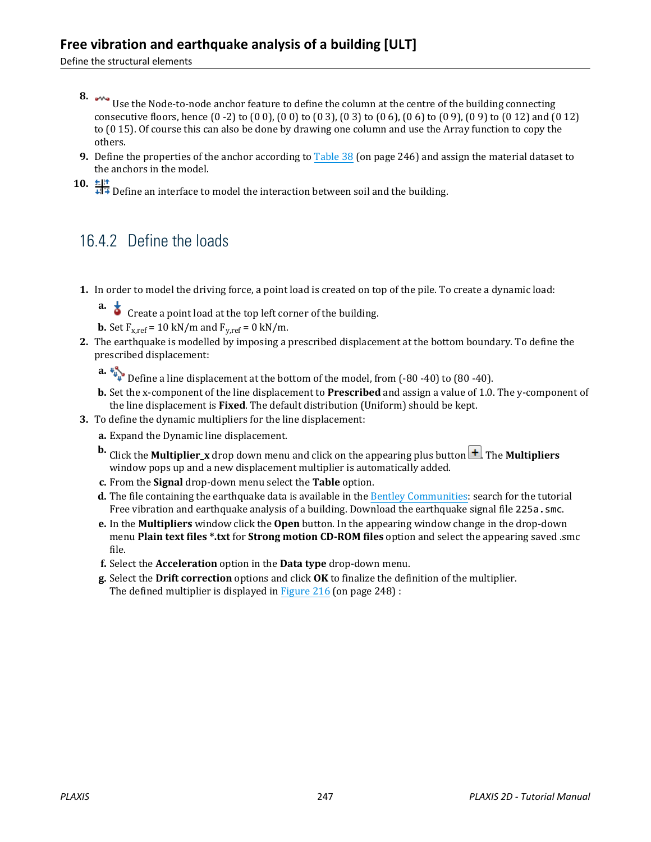Define the structural elements

- **8.** Use the Node-to-node anchor feature to define the column at the centre of the building connecting consecutive floors, hence (0 -2) to (0 0), (0 0) to (0 3), (0 3) to (0 6), (0 6) to (0 9), (0 9) to (0 12) and (0 12) to (0 15). Of course this can also be done by drawing one column and use the Array function to copy the others.
- **9.** Define the properties of the anchor according to [Table 38](#page-7-0) (on page 246) and assign the material dataset to the anchors in the model.

10.  $\frac{16!}{4!}$  Define an interface to model the interaction between soil and the building.

#### 16.4.2 Define the loads

- **1.** In order to model the driving force, a point load is created on top of the pile. To create a dynamic load:
	- **a.**  $\overrightarrow{\bullet}$  Create a point load at the top left corner of the building.

**b.** Set  $F_{x,ref} = 10 \text{ kN/m}$  and  $F_{y,ref} = 0 \text{ kN/m}$ .

- **2.** The earthquake is modelled by imposing a prescribed displacement at the bottom boundary. To define the prescribed displacement:
	- **a.**  $\frac{10}{4}$  Define a line displacement at the bottom of the model, from (-80 -40) to (80 -40).
	- **b.** Set the x-component of the line displacement to **Prescribed** and assign a value of 1.0. The y-component of the line displacement is **Fixed**. The default distribution (Uniform) should be kept.
- **3.** To define the dynamic multipliers for the line displacement:
	- **a.** Expand the Dynamic line displacement.
	- **b.** Click the **Multiplier** x drop down menu and click on the appearing plus button  $\Box$ . The **Multipliers** window pops up and a new displacement multiplier is automatically added.
	- **c.** From the **Signal** drop-down menu select the **Table** option.
	- **d.** The file containing the earthquake data is available in the [Bentley Communities](https://communities.bentley.com/products/geotech-analysis/w/plaxis-soilvision-wiki/45568/plaxis-2d-tutorial-16-free-vibration-and-earthquake-analysis-of-a-building): search for the tutorial Free vibration and earthquake analysis of a building. Download the earthquake signal file 225a.smc.
	- **e.** In the **Multipliers** window click the **Open** button. In the appearing window change in the drop-down menu **Plain text files \*.txt** for **Strong motion CD-ROM files** option and select the appearing saved .smc file.
	- **f.** Select the **Acceleration** option in the **Data type** drop-down menu.
	- **g.** Select the **Drift correction** options and click **OK** to finalize the definition of the multiplier. The defined multiplier is displayed in [Figure 216](#page-9-0) (on page 248) :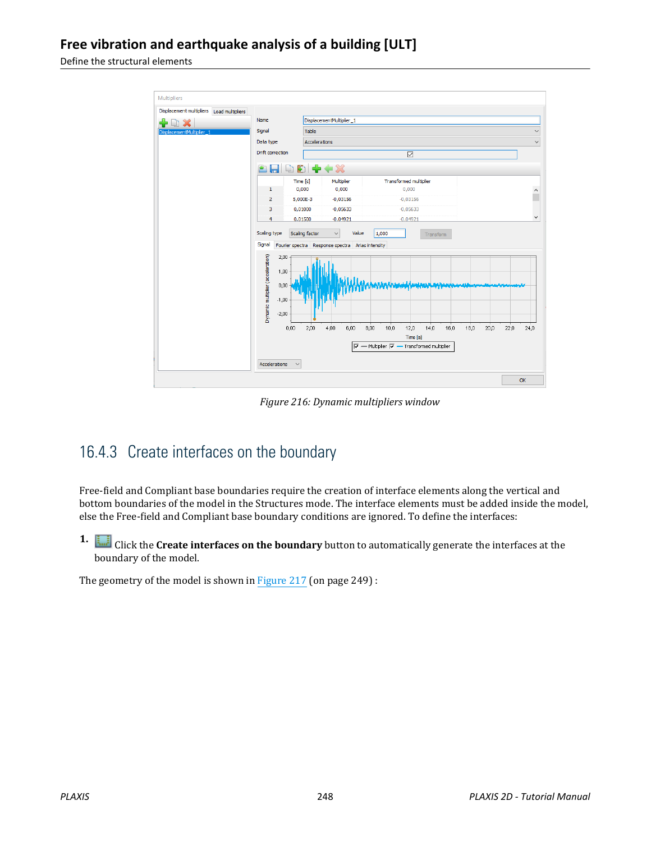<span id="page-9-0"></span>Define the structural elements



*Figure 216: Dynamic multipliers window*

#### 16.4.3 Create interfaces on the boundary

Free-field and Compliant base boundaries require the creation of interface elements along the vertical and bottom boundaries of the model in the Structures mode. The interface elements must be added inside the model, else the Free-field and Compliant base boundary conditions are ignored. To define the interfaces:

**1.** Click the **Create interfaces on the boundary** button to automatically generate the interfaces at the boundary of the model.

The geometry of the model is shown in [Figure 217](#page-10-0) (on page 249) :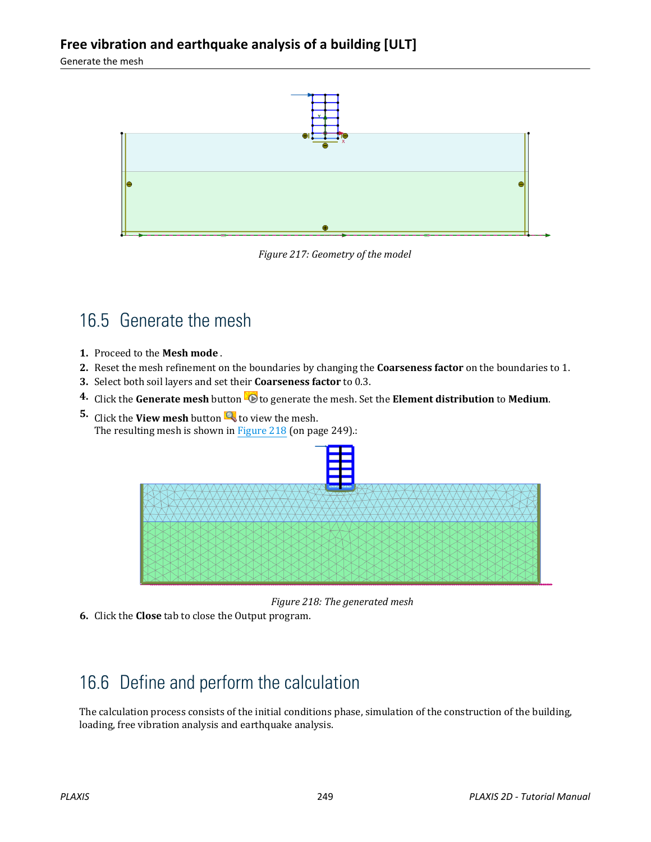<span id="page-10-0"></span>Generate the mesh



*Figure 217: Geometry of the model*

# 16.5 Generate the mesh

- **1.** Proceed to the **Mesh mode** .
- **2.** Reset the mesh refinement on the boundaries by changing the **Coarseness factor** on the boundaries to 1.
- **3.** Select both soil layers and set their **Coarseness factor** to 0.3.
- **4.** Click the **Generate mesh** button **10** to generate the mesh. Set the **Element distribution** to **Medium**.
- **5.** Click the **View mesh** button **Q** to view the mesh. The resulting mesh is shown in Figure 218 (on page 249).:



*Figure 218: The generated mesh*

**6.** Click the **Close** tab to close the Output program.

# 16.6 Define and perform the calculation

The calculation process consists of the initial conditions phase, simulation of the construction of the building, loading, free vibration analysis and earthquake analysis.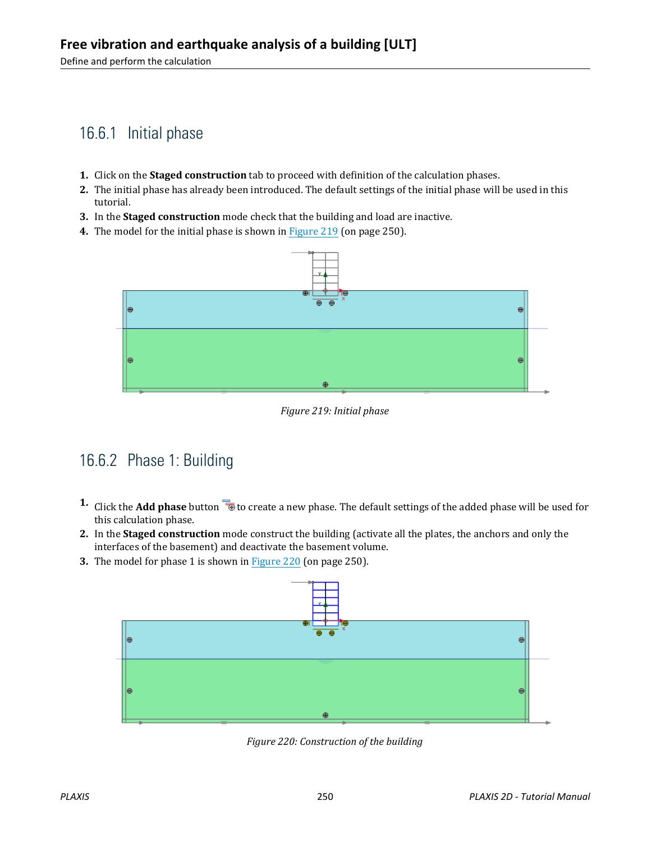## 16.6.1 Initial phase

- **1.** Click on the **Staged construction** tab to proceed with definition of the calculation phases.
- **2.** The initial phase has already been introduced. The default settings of the initial phase will be used in this tutorial.
- **3.** In the **Staged construction** mode check that the building and load are inactive.
- **4.** The model for the initial phase is shown in Figure 219 (on page 250).



*Figure 219: Initial phase*

## 16.6.2 Phase 1: Building

- **1.** Click the **Add phase** button **the set of create a new phase. The default settings of the added phase will be used for** this calculation phase.
- **2.** In the **Staged construction** mode construct the building (activate all the plates, the anchors and only the interfaces of the basement) and deactivate the basement volume.
- **3.** The model for phase 1 is shown in Figure 220 (on page 250).



*Figure 220: Construction of the building*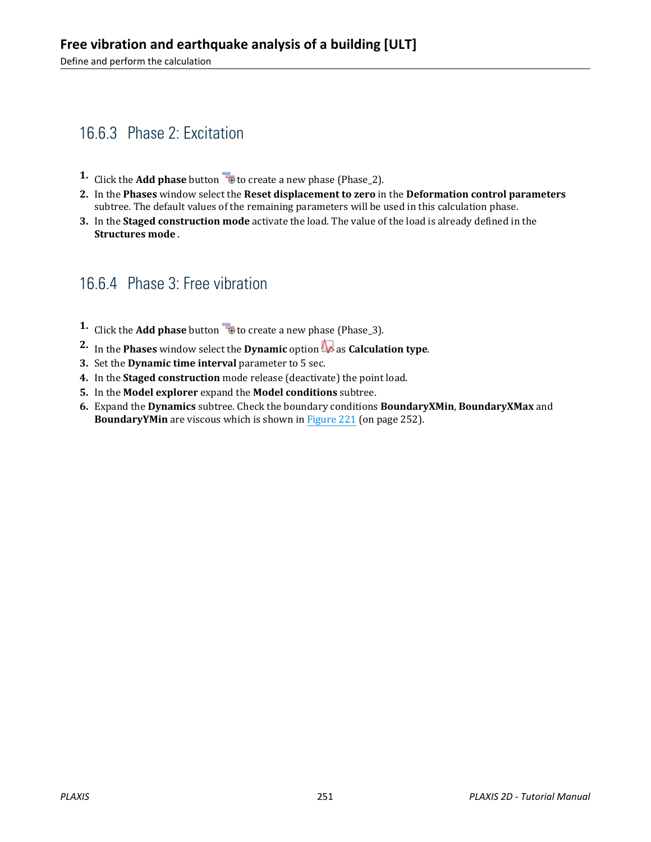Define and perform the calculation

## 16.6.3 Phase 2: Excitation

- **1.** Click the **Add phase** button **the create a new phase (Phase\_2).**
- **2.** In the **Phases** window select the **Reset displacement to zero** in the **Deformation control parameters** subtree. The default values of the remaining parameters will be used in this calculation phase.
- **3.** In the **Staged construction mode** activate the load. The value of the load is already defined in the **Structures mode** .

#### 16.6.4 Phase 3: Free vibration

- **1.** Click the **Add phase** button **to** to create a new phase (Phase<sub>13</sub>).
- **2.** In the **Phases** window select the **Dynamic** option  $\mathbf{R}$  as **Calculation type**.
- **3.** Set the **Dynamic time interval** parameter to 5 sec.
- **4.** In the **Staged construction** mode release (deactivate) the point load.
- **5.** In the **Model explorer** expand the **Model conditions** subtree.
- **6.** Expand the **Dynamics** subtree. Check the boundary conditions **BoundaryXMin**, **BoundaryXMax** and **BoundaryYMin** are viscous which is shown in [Figure 221](#page-13-0) (on page 252).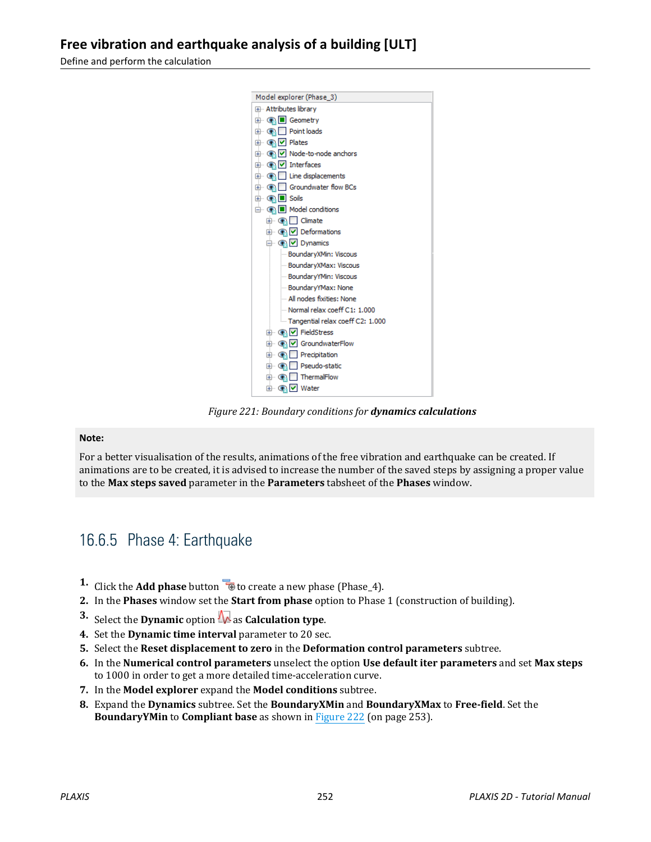<span id="page-13-0"></span>Define and perform the calculation



*Figure 221: Boundary conditions for dynamics calculations*

#### **Note:**

For a better visualisation of the results, animations of the free vibration and earthquake can be created. If animations are to be created, it is advised to increase the number of the saved steps by assigning a proper value to the **Max steps saved** parameter in the **Parameters** tabsheet of the **Phases** window.

#### 16.6.5 Phase 4: Earthquake

- **1.** Click the **Add phase** button  $\overline{\mathbf{B}}$  to create a new phase (Phase\_4).
- **2.** In the **Phases** window set the **Start from phase** option to Phase 1 (construction of building).
- **3.** Select the **Dynamic** option **A** as **Calculation type**.
- **4.** Set the **Dynamic time interval** parameter to 20 sec.
- **5.** Select the **Reset displacement to zero** in the **Deformation control parameters** subtree.
- **6.** In the **Numerical control parameters** unselect the option **Use default iter parameters** and set **Max steps** to 1000 in order to get a more detailed time-acceleration curve.
- **7.** In the **Model explorer** expand the **Model conditions** subtree.
- **8.** Expand the **Dynamics** subtree. Set the **BoundaryXMin** and **BoundaryXMax** to **Free-field**. Set the **BoundaryYMin** to **Compliant base** as shown in [Figure 222](#page-14-0) (on page 253).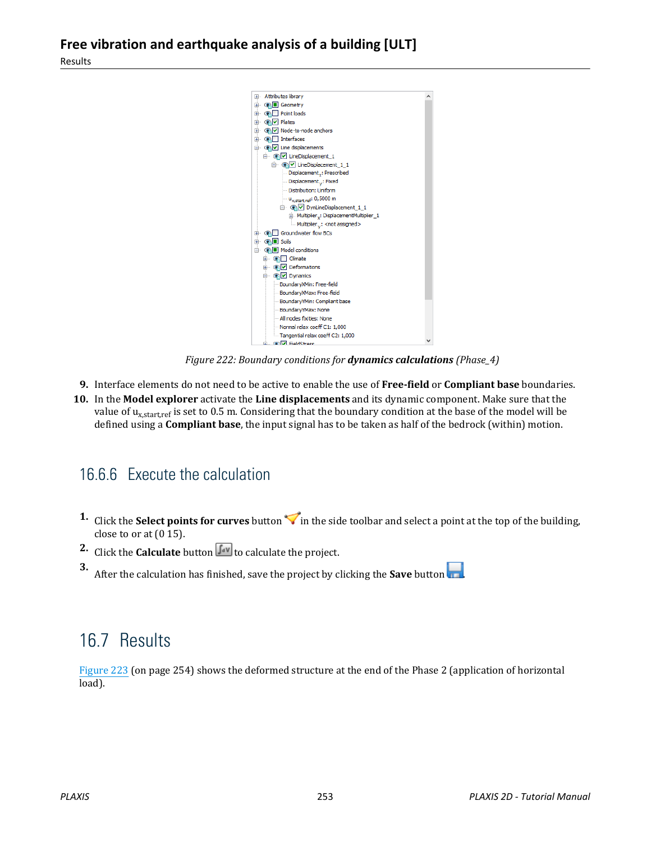<span id="page-14-0"></span>

*Figure 222: Boundary conditions for dynamics calculations (Phase\_4)*

- **9.** Interface elements do not need to be active to enable the use of **Free-field** or **Compliant base** boundaries.
- **10.** In the **Model explorer** activate the **Line displacements** and its dynamic component. Make sure that the value of u<sub>x,start,ref</sub> is set to 0.5 m. Considering that the boundary condition at the base of the model will be defined using a **Compliant base**, the input signal has to be taken as half of the bedrock (within) motion.

## 16.6.6 Execute the calculation

- **1.** Click the **Select points for curves** button in the side toolbar and select a point at the top of the building, close to or at (0 15).
- **2.** Click the **Calculate** button  $\int_{0}^{\infty}$  to calculate the project.

**3.** After the calculation has finished, save the project by clicking the **Save** button .

# 16.7 Results

[Figure 223](#page-15-0) (on page 254) shows the deformed structure at the end of the Phase 2 (application of horizontal load).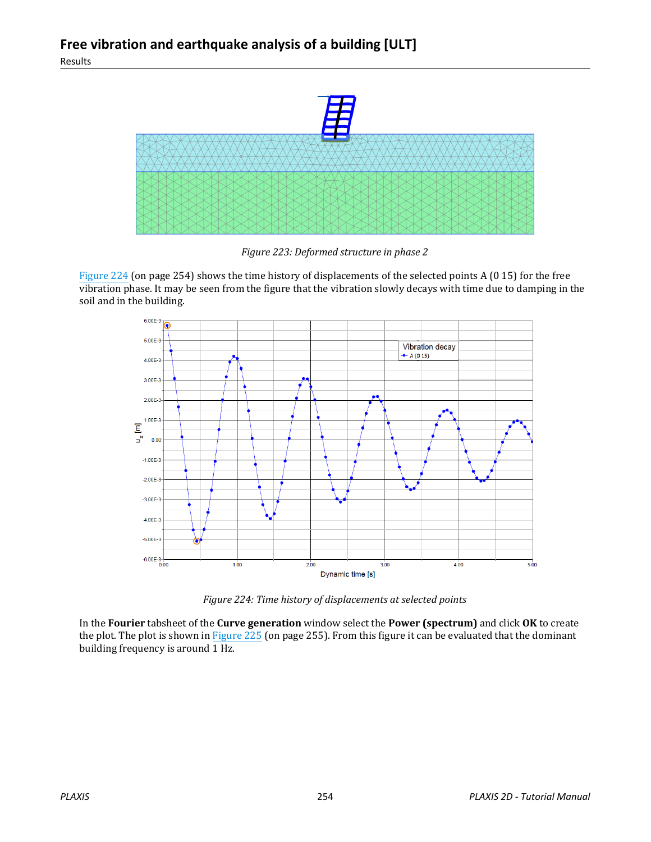<span id="page-15-0"></span>

*Figure 223: Deformed structure in phase 2*

Figure 224 (on page 254) shows the time history of displacements of the selected points A (0 15) for the free vibration phase. It may be seen from the figure that the vibration slowly decays with time due to damping in the soil and in the building.



*Figure 224: Time history of displacements at selected points*

In the **Fourier** tabsheet of the **Curve generation** window select the **Power (spectrum)** and click **OK** to create the plot. The plot is shown in [Figure 225](#page-16-0) (on page 255). From this figure it can be evaluated that the dominant building frequency is around  $\overline{1$  Hz.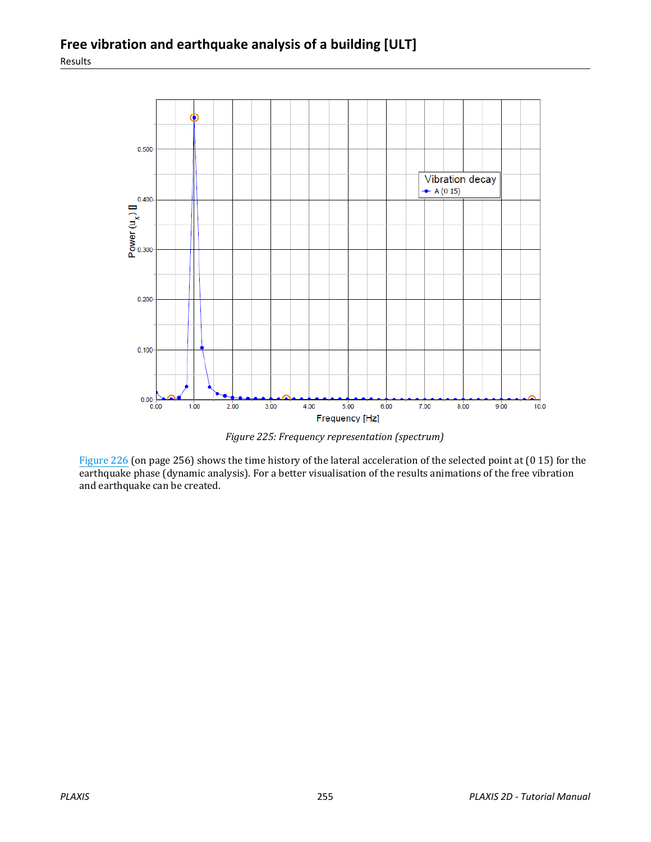<span id="page-16-0"></span>

*Figure 225: Frequency representation (spectrum)*

[Figure 226](#page-17-0) (on page 256) shows the time history of the lateral acceleration of the selected point at (0 15) for the earthquake phase (dynamic analysis). For a better visualisation of the results animations of the free vibration and earthquake can be created.